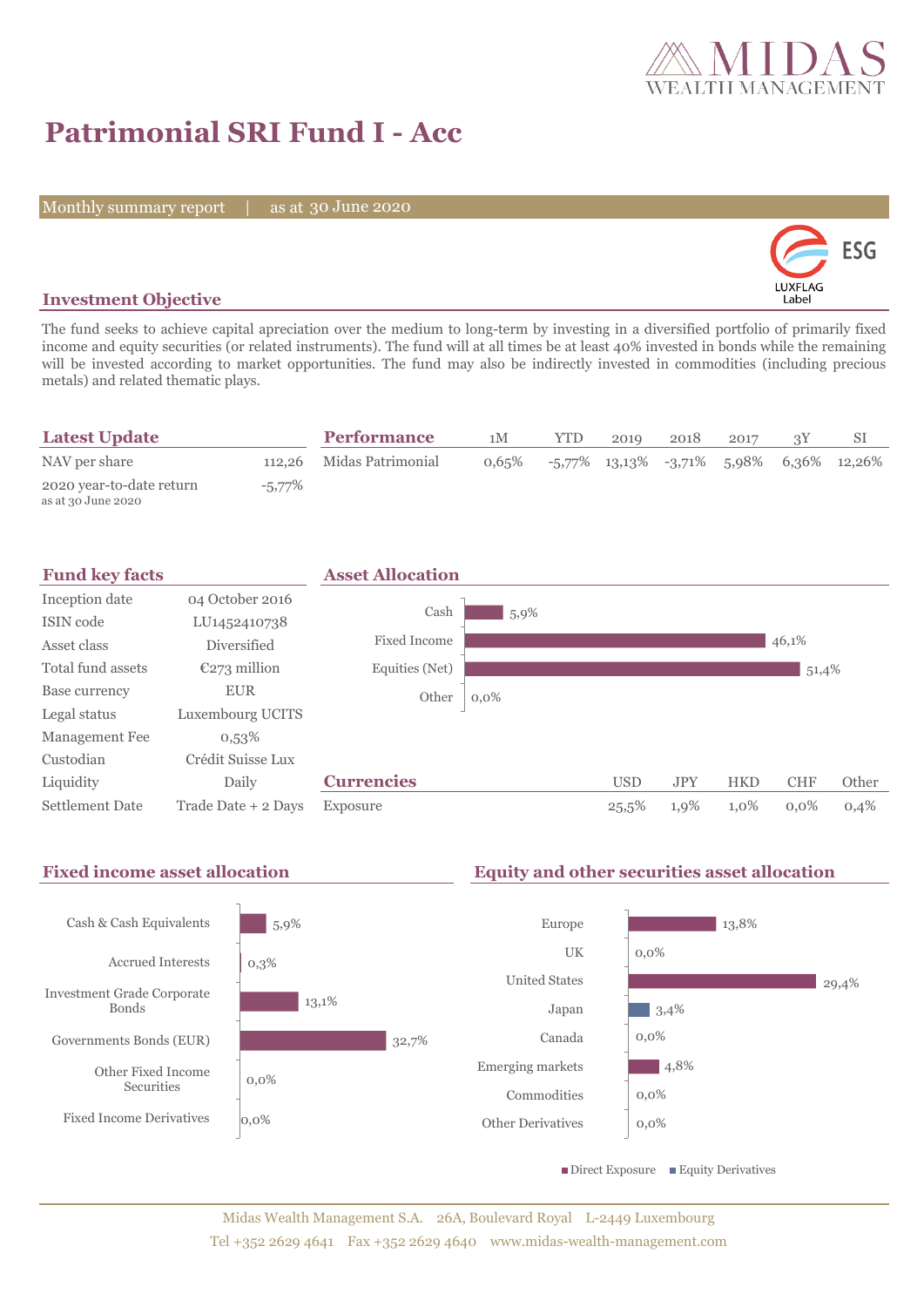

# **Patrimonial SRI Fund I - Acc**

Monthly summary report | as at 30 June 2020



# **Investment Objective**

The fund seeks to achieve capital apreciation over the medium to long-term by investing in a diversified portfolio of primarily fixed income and equity securities (or related instruments). The fund will at all times be at least 40% invested in bonds while the remaining will be invested according to market opportunities. The fund may also be indirectly invested in commodities (including precious metals) and related thematic plays.

| <b>Latest Update</b>                           |        | <b>Performance</b>       | 1M       | <b>YTD</b> | 2019 | 2018 | 2017 |                                                   |
|------------------------------------------------|--------|--------------------------|----------|------------|------|------|------|---------------------------------------------------|
| NAV per share                                  |        | 112,26 Midas Patrimonial | $0.65\%$ |            |      |      |      | $-5,77\%$ 13,13\% $-3,71\%$ 5,98\% 6,36\% 12,26\% |
| 2020 year-to-date return<br>as at 30 June 2020 | -5,77% |                          |          |            |      |      |      |                                                   |



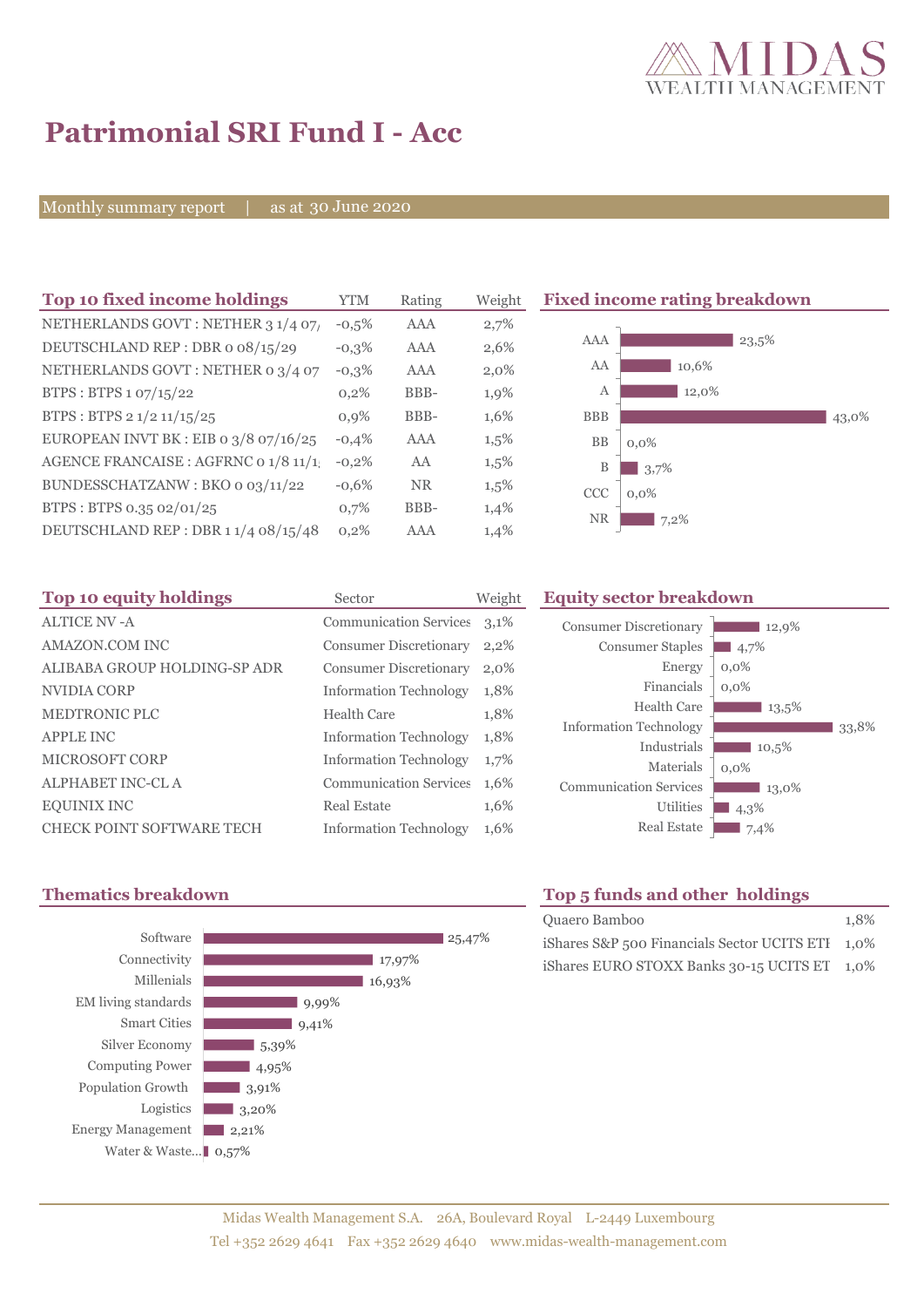

# **Patrimonial SRI Fund I - Acc**

Monthly summary report | as at 30 June 2020

| Top 10 fixed income holdings          | <b>YTM</b> | Rating     | Weigh   |
|---------------------------------------|------------|------------|---------|
| NETHERLANDS GOVT: NETHER 3 1/4 07/    | $-0.5%$    | <b>AAA</b> | 2,7%    |
| DEUTSCHLAND REP: DBR o 08/15/29       | $-0.3%$    | AAA        | 2,6%    |
| NETHERLANDS GOVT: NETHER 0 3/4 07     | $-0,3%$    | AAA        | $2,0\%$ |
| BTPS: BTPS 1 07/15/22                 | 0,2%       | BBB-       | 1,9%    |
| BTPS: BTPS 2 1/2 11/15/25             | 0.9%       | BBB-       | 1,6%    |
| EUROPEAN INVT BK : EIB o 3/8 07/16/25 | $-0.4%$    | AAA        | 1,5%    |
| AGENCE FRANCAISE : AGFRNC 0 1/8 11/1  | $-0,2%$    | AA         | 1,5%    |
| BUNDESSCHATZANW: BKO 0 03/11/22       | $-0.6%$    | <b>NR</b>  | 1,5%    |
| BTPS: BTPS 0.35 02/01/25              | 0,7%       | BBB-       | 1,4%    |
| DEUTSCHLAND REP: DBR 11/4 08/15/48    | 0,2%       | AAA        | 1,4%    |
|                                       |            |            |         |

**Fixed income rating breakdown** 



| Top 10 equity holdings           | Sector                        | Weight |
|----------------------------------|-------------------------------|--------|
| <b>ALTICE NV -A</b>              | <b>Communication Services</b> | 3,1%   |
| AMAZON.COM INC                   | <b>Consumer Discretionary</b> | 2,2%   |
| ALIBABA GROUP HOLDING-SP ADR     | <b>Consumer Discretionary</b> | 2,0%   |
| NVIDIA CORP                      | <b>Information Technology</b> | 1,8%   |
| <b>MEDTRONIC PLC</b>             | Health Care                   | 1,8%   |
| <b>APPLE INC</b>                 | <b>Information Technology</b> | 1,8%   |
| <b>MICROSOFT CORP</b>            | <b>Information Technology</b> | 1,7%   |
| <b>ALPHABET INC-CLA</b>          | <b>Communication Services</b> | 1,6%   |
| <b>EQUINIX INC</b>               | <b>Real Estate</b>            | 1,6%   |
| <b>CHECK POINT SOFTWARE TECH</b> | <b>Information Technology</b> | 1,6%   |

## **Equity sector breakdown**

| <b>Consumer Discretionary</b><br><b>Consumer Staples</b><br>Energy<br>Financials<br>Health Care<br><b>Information Technology</b> | 12,9%<br>4,7%<br>$0.0\%$<br>$0.0\%$<br>13,5% | 33.8% |
|----------------------------------------------------------------------------------------------------------------------------------|----------------------------------------------|-------|
| Industrials<br>Materials<br><b>Communication Services</b><br>Utilities<br><b>Real Estate</b>                                     | 10,5%<br>$0,0\%$<br>13,0%<br>4,3%<br>7,4%    |       |



# **Thematics breakdown Top 5 funds and other holdings**

| Quaero Bamboo                                    | 1.8% |
|--------------------------------------------------|------|
| iShares S&P 500 Financials Sector UCITS ETI 1,0% |      |
| iShares EURO STOXX Banks 30-15 UCITS ET 1,0%     |      |